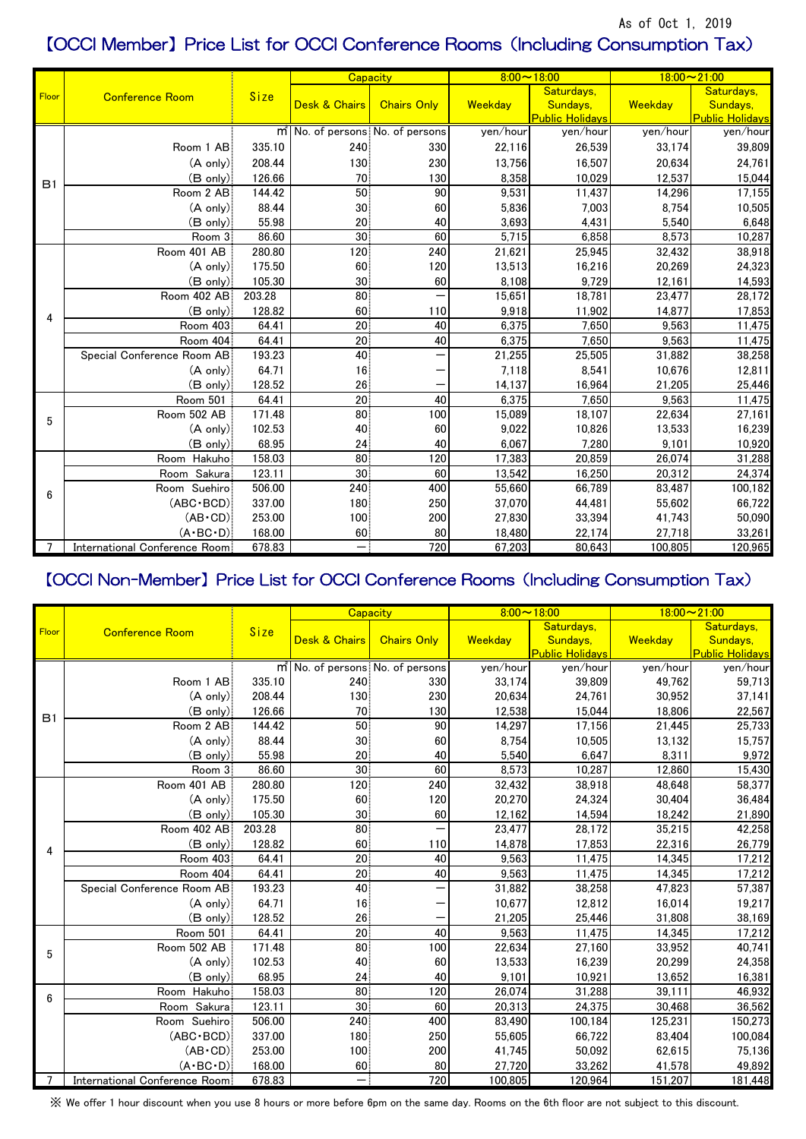## As of Oct 1, 2019 【OCCI Member】Price List for OCCI Conference Rooms(Including Consumption Tax)

|                | <b>Conference Room</b>        | Size   | Capacity                                     |                    | $8:00 \sim 18:00$ |                        | $18:00 - 21:00$ |                        |
|----------------|-------------------------------|--------|----------------------------------------------|--------------------|-------------------|------------------------|-----------------|------------------------|
| Floor          |                               |        |                                              |                    | Weekday           | Saturdays,             |                 | Saturdays,             |
|                |                               |        | <b>Desk &amp; Chairs</b>                     | <b>Chairs Only</b> |                   | Sundays,               | Weekday         | Sundays,               |
|                |                               |        |                                              |                    |                   | <b>Public Holidavs</b> |                 | <b>Public Holidavs</b> |
| B1             |                               |        | m <sup>'</sup> No. of persons No. of persons |                    | yen/hour          | yen/hour               | yen/hour        | yen/hour               |
|                | Room 1 AB                     | 335.10 | 240                                          | 330                | 22,116            | 26,539                 | 33,174          | 39,809                 |
|                | $(A \text{ only})$            | 208.44 | 130                                          | 230                | 13,756            | 16,507                 | 20,634          | 24,761                 |
|                | $(B \text{ only})$            | 126.66 | 70 <sup>1</sup>                              | 130                | 8,358             | 10,029                 | 12,537          | 15,044                 |
|                | Room 2 AB                     | 144.42 | 50                                           | 90                 | 9,531             | 11,437                 | 14,296          | 17,155                 |
|                | $(A \text{ only})$            | 88.44  | 30 <sub>1</sub>                              | 60                 | 5,836             | 7,003                  | 8,754           | 10,505                 |
|                | $(B \text{ only})$            | 55.98  | 20                                           | 40                 | 3,693             | 4,431                  | 5,540           | 6,648                  |
|                | Room 3                        | 86.60  | 30                                           | 60                 | 5,715             | 6,858                  | 8,573           | 10,287                 |
|                | Room 401 AB                   | 280.80 | 120                                          | 240                | 21,621            | 25,945                 | 32,432          | 38,918                 |
|                | $(A \text{ only})$            | 175.50 | 60                                           | 120                | 13,513            | 16,216                 | 20,269          | 24,323                 |
|                | $(B \text{ only})$            | 105.30 | 30 <sup>1</sup>                              | 60                 | 8,108             | 9,729                  | 12,161          | 14,593                 |
|                | Room 402 AB                   | 203.28 | 80                                           |                    | 15,651            | 18,781                 | 23,477          | 28,172                 |
| 4              | $(B \text{ only})$            | 128.82 | 60                                           | 110                | 9,918             | 11,902                 | 14,877          | 17,853                 |
|                | Room 403                      | 64.41  | 20                                           | 40                 | 6,375             | 7,650                  | 9,563           | 11,475                 |
|                | Room 404                      | 64.41  | 20 <sup>1</sup>                              | 40                 | 6,375             | 7,650                  | 9,563           | 11,475                 |
|                | Special Conference Room AB    | 193.23 | 40                                           |                    | 21,255            | 25,505                 | 31,882          | 38,258                 |
|                | $(A \text{ only})$            | 64.71  | 16                                           |                    | 7,118             | 8,541                  | 10,676          | 12,811                 |
|                | $(B \text{ only})$            | 128.52 | 26                                           |                    | 14,137            | 16,964                 | 21,205          | 25,446                 |
|                | Room 501                      | 64.41  | 20 <sub>1</sub>                              | 40                 | 6,375             | 7,650                  | 9,563           | 11,475                 |
| 5              | Room 502 AB                   | 171.48 | 80                                           | 100                | 15,089            | 18,107                 | 22,634          | 27,161                 |
|                | $(A \text{ only})$            | 102.53 | 40                                           | 60                 | 9,022             | 10,826                 | 13,533          | 16,239                 |
|                | $(B \text{ only})$            | 68.95  | 24                                           | 40                 | 6,067             | 7,280                  | 9,101           | 10,920                 |
| 6              | Room Hakuho                   | 158.03 | 80                                           | 120                | 17,383            | 20,859                 | 26,074          | 31,288                 |
|                | Room Sakura                   | 123.11 | 30 <sup>1</sup>                              | 60                 | 13,542            | 16,250                 | 20,312          | 24,374                 |
|                | Room Suehiro                  | 506.00 | 240                                          | 400                | 55,660            | 66,789                 | 83,487          | 100,182                |
|                | $(ABC \cdot BCD)$             | 337.00 | 180 <sub>1</sub>                             | 250                | 37,070            | 44,481                 | 55,602          | 66,722                 |
|                | $(AB \cdot CD)$               | 253.00 | 100                                          | 200                | 27,830            | 33,394                 | 41,743          | 50,090                 |
|                | $(A \cdot BC \cdot D)$        | 168.00 | 60                                           | 80                 | 18,480            | 22,174                 | 27,718          | 33,261                 |
| $\overline{7}$ | International Conference Room | 678.83 |                                              | 720                | 67,203            | 80,643                 | 100,805         | 120,965                |

## 【OCCI Non-Member】Price List for OCCI Conference Rooms(Including Consumption Tax)

|                | <b>Conference Room</b>        | Size   | <b>Capacity</b>                              |                    | $8:00 \sim 18:00$ |                        | $18:00 - 21:00$ |                        |
|----------------|-------------------------------|--------|----------------------------------------------|--------------------|-------------------|------------------------|-----------------|------------------------|
| Floor          |                               |        |                                              |                    |                   | Saturdays,             |                 | Saturdays,             |
|                |                               |        | <b>Desk &amp; Chairs</b>                     | <b>Chairs Only</b> | Weekday           | Sundays,               | Weekday         | Sundays,               |
|                |                               |        |                                              |                    |                   | <b>Public Holidavs</b> |                 | <b>Public Holidavs</b> |
| B1             |                               |        | m <sup>'</sup> No. of persons No. of persons |                    | yen/hour          | yen/hour               | yen/hour        | yen/hour               |
|                | Room 1 AB                     | 335.10 | 240                                          | 330                | 33,174            | 39,809                 | 49,762          | 59,713                 |
|                | $(A \text{ only})$            | 208.44 | 130                                          | 230                | 20,634            | 24,761                 | 30,952          | 37,141                 |
|                | $(B \text{ only})$            | 126.66 | 70                                           | 130                | 12,538            | 15,044                 | 18,806          | 22,567                 |
|                | Room 2 AB                     | 144.42 | 50 <sup>1</sup>                              | 90                 | 14,297            | 17,156                 | 21,445          | 25,733                 |
|                | $(A \text{ only})$            | 88.44  | 30 <sup>2</sup>                              | 60                 | 8,754             | 10,505                 | 13,132          | 15,757                 |
|                | $(B \text{ only})$            | 55.98  | 20 <sup>2</sup>                              | 40                 | 5,540             | 6,647                  | 8,311           | 9,972                  |
|                | Room 3                        | 86.60  | 30 <sub>1</sub>                              | 60                 | 8,573             | 10,287                 | 12,860          | 15,430                 |
|                | Room 401 AB                   | 280.80 | 120                                          | 240                | 32,432            | 38,918                 | 48,648          | 58,377                 |
|                | $(A \text{ only})$            | 175.50 | 60                                           | 120                | 20,270            | 24,324                 | 30,404          | 36,484                 |
|                | $(B \text{ only})$            | 105.30 | 30 <sub>1</sub>                              | 60                 | 12,162            | 14,594                 | 18,242          | 21,890                 |
|                | Room 402 AB                   | 203.28 | 80                                           |                    | 23,477            | 28,172                 | 35,215          | 42,258                 |
| 4              | $(B \text{ only})$            | 128.82 | 60                                           | 110                | 14,878            | 17,853                 | 22,316          | 26,779                 |
|                | Room 403                      | 64.41  | 20 <sub>1</sub>                              | 40                 | 9,563             | 11,475                 | 14,345          | 17,212                 |
|                | Room 404                      | 64.41  | 20 <sub>1</sub>                              | 40                 | 9,563             | 11,475                 | 14,345          | 17,212                 |
|                | Special Conference Room AB    | 193.23 | 40 <sup>1</sup>                              |                    | 31,882            | 38,258                 | 47,823          | 57,387                 |
|                | $(A \text{ only})$            | 64.71  | 16                                           |                    | 10,677            | 12,812                 | 16,014          | 19,217                 |
|                | $(B \text{ only})$            | 128.52 | 26                                           |                    | 21,205            | 25,446                 | 31,808          | 38,169                 |
| 5              | Room 501                      | 64.41  | 20 <sup>2</sup>                              | 40                 | 9,563             | 11,475                 | 14,345          | 17,212                 |
|                | Room 502 AB                   | 171.48 | 80                                           | 100                | 22,634            | 27,160                 | 33,952          | 40,741                 |
|                | $(A \text{ only})$            | 102.53 | 40                                           | 60                 | 13,533            | 16,239                 | 20,299          | 24,358                 |
|                | $(B \text{ only})$            | 68.95  | 24                                           | 40                 | 9,101             | 10,921                 | 13,652          | 16,381                 |
| $6\phantom{1}$ | Room Hakuho                   | 158.03 | 80                                           | 120                | 26,074            | 31,288                 | 39,111          | 46,932                 |
|                | Room Sakura                   | 123.11 | 30                                           | 60                 | 20,313            | 24,375                 | 30,468          | 36,562                 |
|                | Room Suehiro                  | 506.00 | 240                                          | 400                | 83,490            | 100,184                | 125,231         | 150,273                |
|                | $(ABC \cdot BCD)$             | 337.00 | 180                                          | 250                | 55,605            | 66,722                 | 83,404          | 100,084                |
|                | $(AB \cdot CD)$               | 253.00 | 100                                          | 200                | 41,745            | 50,092                 | 62,615          | 75,136                 |
|                | $(A \cdot BC \cdot D)$        | 168.00 | 60                                           | 80                 | 27,720            | 33,262                 | 41,578          | 49,892                 |
| $\overline{7}$ | International Conference Room | 678.83 |                                              | 720                | 100,805           | 120,964                | 151,207         | 181,448                |

※ We offer 1 hour discount when you use 8 hours or more before 6pm on the same day. Rooms on the 6th floor are not subject to this discount.